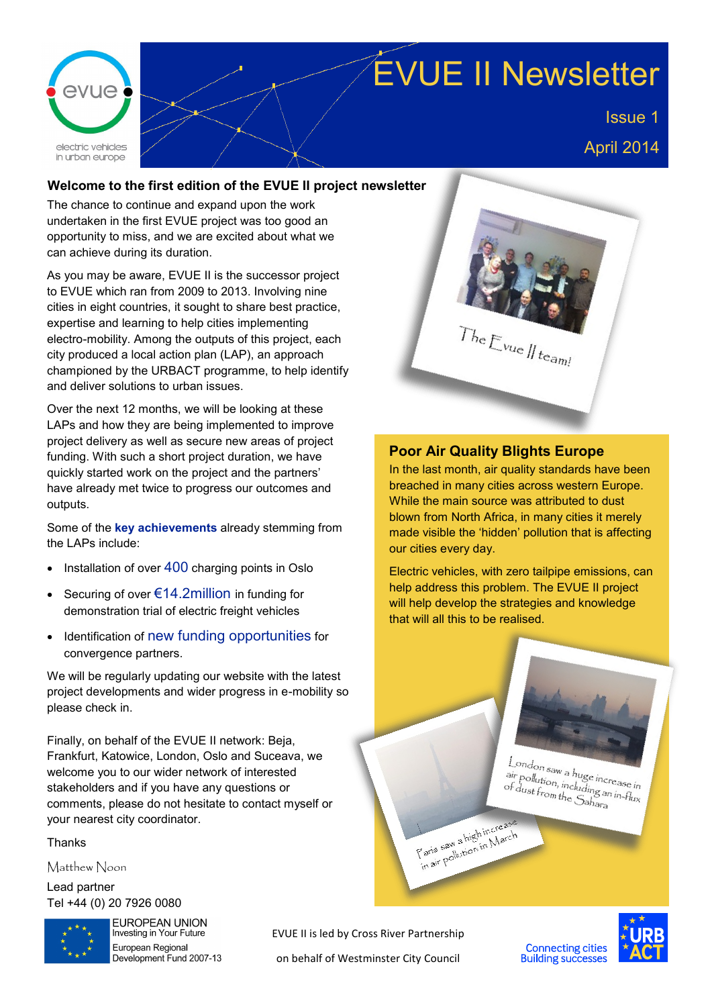

# EVUE II Newsletter

Issue 1 April 2014

#### **Welcome to the first edition of the EVUE II project newsletter**

The chance to continue and expand upon the work undertaken in the first EVUE project was too good an opportunity to miss, and we are excited about what we can achieve during its duration.

As you may be aware, EVUE II is the successor project to [EVUE w](http://www.urbact.eu/evue)hich ran from 2009 to 2013. Involving nine cities in eight countries, it sought to share best practice, expertise and learning to help cities implementing electro-mobility. Among the outputs of this project, each city produced a local action plan (LAP), an approach championed by the URBACT programme, to help identify and deliver solutions to urban issues.

Over the next 12 months, we will be looking at these LAPs and how they are being implemented to improve project delivery as well as secure new areas of project funding. With such a short project duration, we have quickly started work on the project and the partners' have already met twice to progress our outcomes and outputs.

Some of the **key achievements** already stemming from the LAPs include:

- Installation of over 400 charging points in Oslo
- Securing of over €14.2million in funding for demonstration trial of [electric freight vehicles](http://www.frevue.eu/)
- Identification of new funding opportunities for convergence partners.

We will be regularly updating our [website w](http://www.urbact.eu/evueII)ith the latest project developments and wider progress in e-mobility so please check in.

Finally, on behalf of the EVUE II network: Beja, Frankfurt, Katowice, London, Oslo and Suceava, we welcome you to our wider network of interested stakeholders and if you have any questions or comments, please do not hesitate to contact myself or your nearest city coordinator.

Thanks

Matthew Noon

Lead partner Tel +44 (0) 20 7926 0080



EUROPEAN UNION **Investing in Your Future** European Regional Development Fund 2007-13



# **Poor Air Quality Blights Europe**

In the last month, air quality standards have been breached in many cities across western Europe. While the main source was attributed to dust blown from North Africa, in many cities it merely made visible the 'hidden' pollution that is affecting our cities every day.

Electric vehicles, with zero tailpipe emissions, can help address this problem. The EVUE II project will help develop the strategies and knowledge that will all this to be realised.



Paris saw a high increase Paris saw a high increase





EVUE II is led by Cross River Partnership on behalf of Westminster City Council